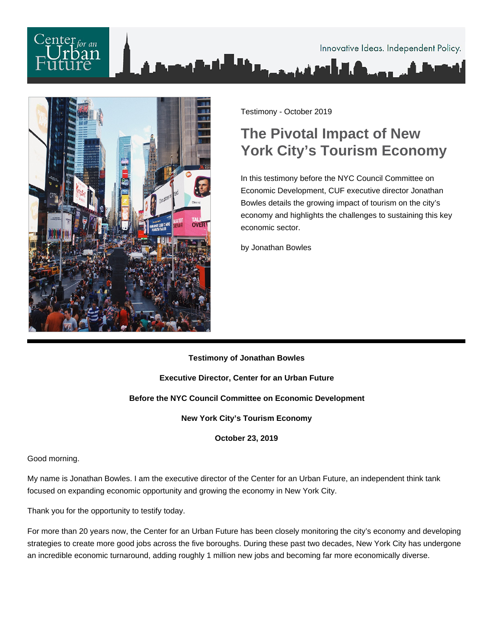



Testimony - October 2019

## **The Pivotal Impact of New York City's Tourism Economy**

In this testimony before the NYC Council Committee on Economic Development, CUF executive director Jonathan Bowles details the growing impact of tourism on the city's economy and highlights the challenges to sustaining this key economic sector.

by Jonathan Bowles

## **Testimony of Jonathan Bowles Executive Director, Center for an Urban Future**

## **Before the NYC Council Committee on Economic Development**

**New York City's Tourism Economy**

**October 23, 2019**

Good morning.

My name is Jonathan Bowles. I am the executive director of the Center for an Urban Future, an independent think tank focused on expanding economic opportunity and growing the economy in New York City.

Thank you for the opportunity to testify today.

For more than 20 years now, the Center for an Urban Future has been closely monitoring the city's economy and developing strategies to create more good jobs across the five boroughs. During these past two decades, New York City has undergone an incredible economic turnaround, adding roughly 1 million new jobs and becoming far more economically diverse.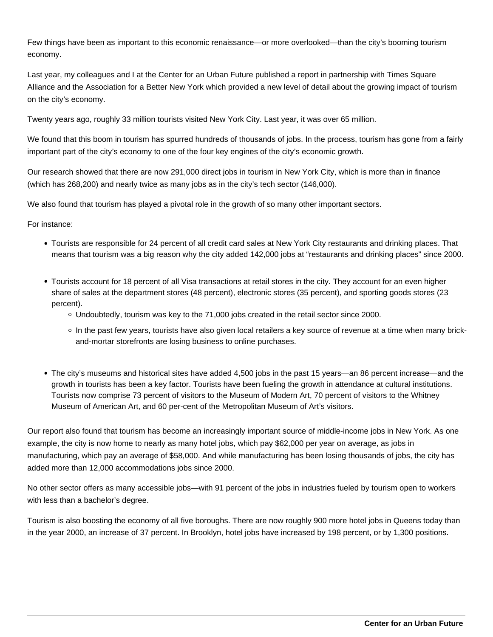Few things have been as important to this economic renaissance—or more overlooked—than the city's booming tourism economy.

Last year, my colleagues and I at the Center for an Urban Future published a report in partnership with Times Square Alliance and the Association for a Better New York which provided a new level of detail about the growing impact of tourism on the city's economy.

Twenty years ago, roughly 33 million tourists visited New York City. Last year, it was over 65 million.

We found that this boom in tourism has spurred hundreds of thousands of jobs. In the process, tourism has gone from a fairly important part of the city's economy to one of the four key engines of the city's economic growth.

Our research showed that there are now 291,000 direct jobs in tourism in New York City, which is more than in finance (which has 268,200) and nearly twice as many jobs as in the city's tech sector (146,000).

We also found that tourism has played a pivotal role in the growth of so many other important sectors.

For instance:

- Tourists are responsible for 24 percent of all credit card sales at New York City restaurants and drinking places. That means that tourism was a big reason why the city added 142,000 jobs at "restaurants and drinking places" since 2000.
- Tourists account for 18 percent of all Visa transactions at retail stores in the city. They account for an even higher share of sales at the department stores (48 percent), electronic stores (35 percent), and sporting goods stores (23 percent).
	- $\circ$  Undoubtedly, tourism was key to the 71,000 jobs created in the retail sector since 2000.
	- In the past few years, tourists have also given local retailers a key source of revenue at a time when many brickand-mortar storefronts are losing business to online purchases.
- The city's museums and historical sites have added 4,500 jobs in the past 15 years—an 86 percent increase—and the growth in tourists has been a key factor. Tourists have been fueling the growth in attendance at cultural institutions. Tourists now comprise 73 percent of visitors to the Museum of Modern Art, 70 percent of visitors to the Whitney Museum of American Art, and 60 per-cent of the Metropolitan Museum of Art's visitors.

Our report also found that tourism has become an increasingly important source of middle-income jobs in New York. As one example, the city is now home to nearly as many hotel jobs, which pay \$62,000 per year on average, as jobs in manufacturing, which pay an average of \$58,000. And while manufacturing has been losing thousands of jobs, the city has added more than 12,000 accommodations jobs since 2000.

No other sector offers as many accessible jobs—with 91 percent of the jobs in industries fueled by tourism open to workers with less than a bachelor's degree.

Tourism is also boosting the economy of all five boroughs. There are now roughly 900 more hotel jobs in Queens today than in the year 2000, an increase of 37 percent. In Brooklyn, hotel jobs have increased by 198 percent, or by 1,300 positions.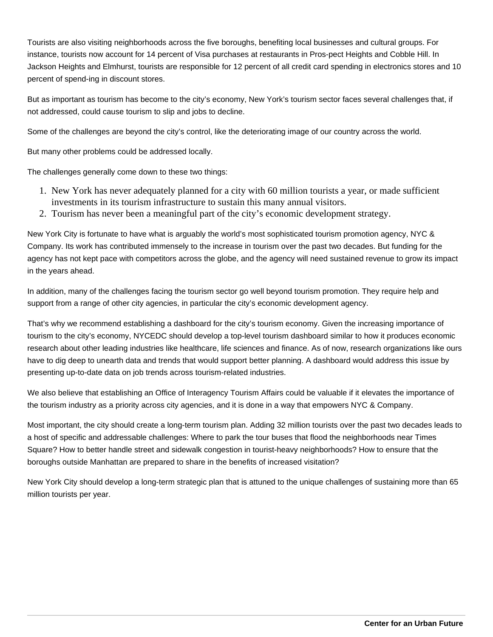Tourists are also visiting neighborhoods across the five boroughs, benefiting local businesses and cultural groups. For instance, tourists now account for 14 percent of Visa purchases at restaurants in Pros-pect Heights and Cobble Hill. In Jackson Heights and Elmhurst, tourists are responsible for 12 percent of all credit card spending in electronics stores and 10 percent of spend-ing in discount stores.

But as important as tourism has become to the city's economy, New York's tourism sector faces several challenges that, if not addressed, could cause tourism to slip and jobs to decline.

Some of the challenges are beyond the city's control, like the deteriorating image of our country across the world.

But many other problems could be addressed locally.

The challenges generally come down to these two things:

- 1. New York has never adequately planned for a city with 60 million tourists a year, or made sufficient investments in its tourism infrastructure to sustain this many annual visitors.
- 2. Tourism has never been a meaningful part of the city's economic development strategy.

New York City is fortunate to have what is arguably the world's most sophisticated tourism promotion agency, NYC & Company. Its work has contributed immensely to the increase in tourism over the past two decades. But funding for the agency has not kept pace with competitors across the globe, and the agency will need sustained revenue to grow its impact in the years ahead.

In addition, many of the challenges facing the tourism sector go well beyond tourism promotion. They require help and support from a range of other city agencies, in particular the city's economic development agency.

That's why we recommend establishing a dashboard for the city's tourism economy. Given the increasing importance of tourism to the city's economy, NYCEDC should develop a top-level tourism dashboard similar to how it produces economic research about other leading industries like healthcare, life sciences and finance. As of now, research organizations like ours have to dig deep to unearth data and trends that would support better planning. A dashboard would address this issue by presenting up-to-date data on job trends across tourism-related industries.

We also believe that establishing an Office of Interagency Tourism Affairs could be valuable if it elevates the importance of the tourism industry as a priority across city agencies, and it is done in a way that empowers NYC & Company.

Most important, the city should create a long-term tourism plan. Adding 32 million tourists over the past two decades leads to a host of specific and addressable challenges: Where to park the tour buses that flood the neighborhoods near Times Square? How to better handle street and sidewalk congestion in tourist-heavy neighborhoods? How to ensure that the boroughs outside Manhattan are prepared to share in the benefits of increased visitation?

New York City should develop a long-term strategic plan that is attuned to the unique challenges of sustaining more than 65 million tourists per year.